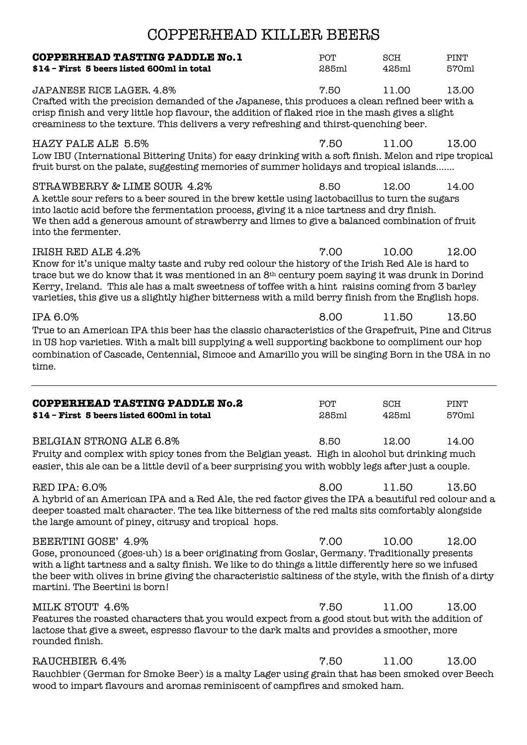| COPPERHEAD KILLER BEERS                                                                                                                                                                                                                                                                                                                                                                                                                           |              |              |               |  |  |
|---------------------------------------------------------------------------------------------------------------------------------------------------------------------------------------------------------------------------------------------------------------------------------------------------------------------------------------------------------------------------------------------------------------------------------------------------|--------------|--------------|---------------|--|--|
| <b>COPPERHEAD TASTING PADDLE No.1</b><br>\$14 - First 5 beers listed 600ml in total                                                                                                                                                                                                                                                                                                                                                               | POT<br>285ml | SCH<br>425ml | PINT<br>570ml |  |  |
| <b>JAPANESE RICE LAGER, 4.8%</b><br>Crafted with the precision demanded of the Japanese, this produces a clean refined beer with a<br>crisp finish and very little hop flavour, the addition of flaked rice in the mash gives a slight<br>creaminess to the texture. This delivers a very refreshing and thirst-quenching beer.                                                                                                                   | 7.50         | 11.00        | 13.00         |  |  |
| <b>HAZY PALE ALE 5.5%</b><br>Low IBU (International Bittering Units) for easy drinking with a soft finish. Melon and ripe tropical<br>fruit burst on the palate, suggesting memories of summer holidays and tropical islands                                                                                                                                                                                                                      | 7.50         | 11.00        | 13.00         |  |  |
| STRAWBERRY & LIME SOUR 4.2%<br>A kettle sour refers to a beer soured in the brew kettle using lactobacillus to turn the sugars<br>into lactic acid before the fermentation process, giving it a nice tartness and dry finish.<br>We then add a generous amount of strawberry and limes to give a balanced combination of fruit<br>into the fermenter.                                                                                             | 8.50         | 12.00        | 14.00         |  |  |
| IRISH RED ALE 4.2%<br>Know for it's unique malty taste and ruby red colour the history of the Irish Red Ale is hard to<br>trace but we do know that it was mentioned in an 8 <sup>th</sup> century poem saying it was drunk in Dorind<br>Kerry, Ireland. This ale has a malt sweetness of toffee with a hint raisins coming from 3 barley<br>varieties, this give us a slightly higher bitterness with a mild berry finish from the English hops. | 7.00         | 10.00        | 12.00         |  |  |
| IPA 6.0%<br>True to an American IPA this beer has the classic characteristics of the Grapefruit, Pine and Citrus<br>in US hop varieties. With a malt bill supplying a well supporting backbone to compliment our hop<br>combination of Cascade, Centennial, Simcoe and Amarillo you will be singing Born in the USA in no<br>time.                                                                                                                | 8.00         | 11.50        | 13.50         |  |  |
| <b>COPPERHEAD TASTING PADDLE No.2</b><br>\$14 - First 5 beers listed 600ml in total                                                                                                                                                                                                                                                                                                                                                               | POT<br>285ml | SCH<br>425ml | PINT<br>570ml |  |  |
| <b>BELGIAN STRONG ALE 6.8%</b><br>Fruity and complex with spicy tones from the Belgian yeast. High in alcohol but drinking much<br>easier, this ale can be a little devil of a beer surprising you with wobbly legs after just a couple.                                                                                                                                                                                                          | 8.50         | 12.00        | 14.00         |  |  |
| <b>RED IPA: 6.0%</b><br>A hybrid of an American IPA and a Red Ale, the red factor gives the IPA a beautiful red colour and a<br>deeper toasted malt character. The tea like bitterness of the red malts sits comfortably alongside<br>the large amount of piney, citrusy and tropical hops.                                                                                                                                                       | 8.00         | 11.50        | 13.50         |  |  |
| BEERTINI GOSE' 4.9%<br>Gose, pronounced (goes-uh) is a beer originating from Goslar, Germany. Traditionally presents<br>with a light tartness and a salty finish. We like to do things a little differently here so we infused<br>the beer with olives in brine giving the characteristic saltiness of the style, with the finish of a dirty<br>martini. The Beertini is born!                                                                    | 7.00         | 10.00        | 12.00         |  |  |
| MILK STOUT 4.6%<br>Features the roasted characters that you would expect from a good stout but with the addition of<br>lactose that give a sweet, espresso flavour to the dark malts and provides a smoother, more<br>rounded finish.                                                                                                                                                                                                             | 7.50         | 11.00        | 13.00         |  |  |
| RAUCHBIER 6.4%<br>Rauchbier (German for Smoke Beer) is a malty Lager using grain that has been smoked over Beech<br>wood to impart flavours and aromas reminiscent of campfires and smoked ham.                                                                                                                                                                                                                                                   | 7.50         | 11.00        | 13.00         |  |  |